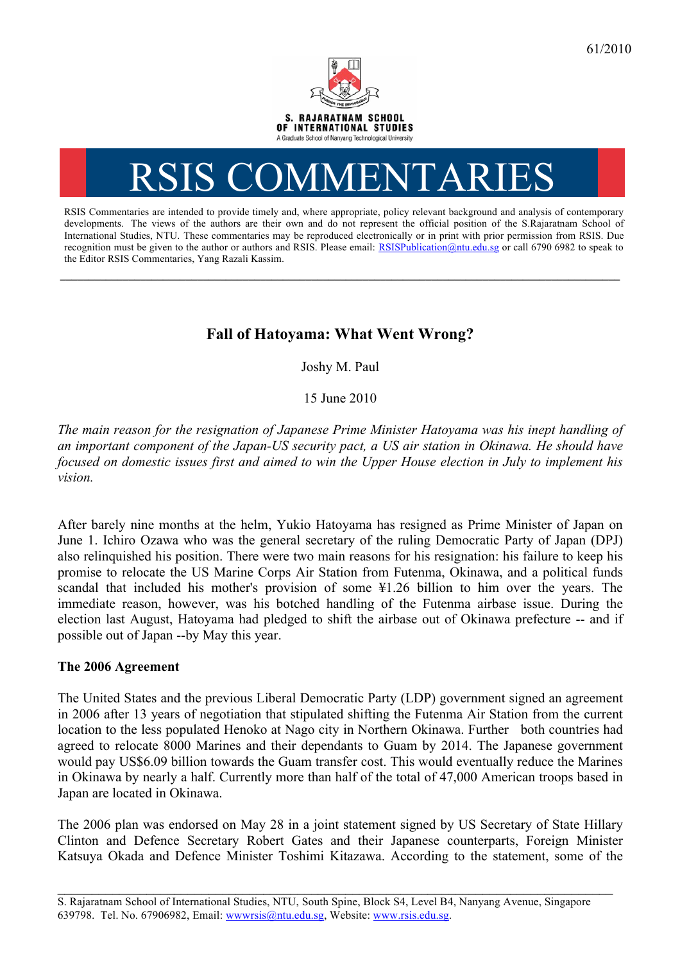

## RSIS COMMENTARI

RSIS Commentaries are intended to provide timely and, where appropriate, policy relevant background and analysis of contemporary developments. The views of the authors are their own and do not represent the official position of the S.Rajaratnam School of International Studies, NTU. These commentaries may be reproduced electronically or in print with prior permission from RSIS. Due recognition must be given to the author or authors and RSIS. Please email: RSISPublication@ntu.edu.sg or call 6790 6982 to speak to the Editor RSIS Commentaries, Yang Razali Kassim.

## **Fall of Hatoyama: What Went Wrong?**

**\_\_\_\_\_\_\_\_\_\_\_\_\_\_\_\_\_\_\_\_\_\_\_\_\_\_\_\_\_\_\_\_\_\_\_\_\_\_\_\_\_\_\_\_\_\_\_\_\_\_\_\_\_\_\_\_\_\_\_\_\_\_\_\_\_\_\_\_\_\_\_\_\_\_\_\_\_\_\_\_\_\_\_\_\_\_\_\_\_\_\_\_\_\_\_\_\_\_**

Joshy M. Paul

15 June 2010

*The main reason for the resignation of Japanese Prime Minister Hatoyama was his inept handling of an important component of the Japan-US security pact, a US air station in Okinawa. He should have focused on domestic issues first and aimed to win the Upper House election in July to implement his vision.*

After barely nine months at the helm, Yukio Hatoyama has resigned as Prime Minister of Japan on June 1. Ichiro Ozawa who was the general secretary of the ruling Democratic Party of Japan (DPJ) also relinquished his position. There were two main reasons for his resignation: his failure to keep his promise to relocate the US Marine Corps Air Station from Futenma, Okinawa, and a political funds scandal that included his mother's provision of some ¥1.26 billion to him over the years. The immediate reason, however, was his botched handling of the Futenma airbase issue. During the election last August, Hatoyama had pledged to shift the airbase out of Okinawa prefecture -- and if possible out of Japan --by May this year.

## **The 2006 Agreement**

The United States and the previous Liberal Democratic Party (LDP) government signed an agreement in 2006 after 13 years of negotiation that stipulated shifting the Futenma Air Station from the current location to the less populated Henoko at Nago city in Northern Okinawa. Further both countries had agreed to relocate 8000 Marines and their dependants to Guam by 2014. The Japanese government would pay US\$6.09 billion towards the Guam transfer cost. This would eventually reduce the Marines in Okinawa by nearly a half. Currently more than half of the total of 47,000 American troops based in Japan are located in Okinawa.

The 2006 plan was endorsed on May 28 in a joint statement signed by US Secretary of State Hillary Clinton and Defence Secretary Robert Gates and their Japanese counterparts, Foreign Minister Katsuya Okada and Defence Minister Toshimi Kitazawa. According to the statement, some of the

\_\_\_\_\_\_\_\_\_\_\_\_\_\_\_\_\_\_\_\_\_\_\_\_\_\_\_\_\_\_\_\_\_\_\_\_\_\_\_\_\_\_\_\_\_\_\_\_\_\_\_\_\_\_\_\_\_\_\_\_\_\_\_\_\_\_\_\_\_\_\_\_\_\_\_\_\_\_\_\_\_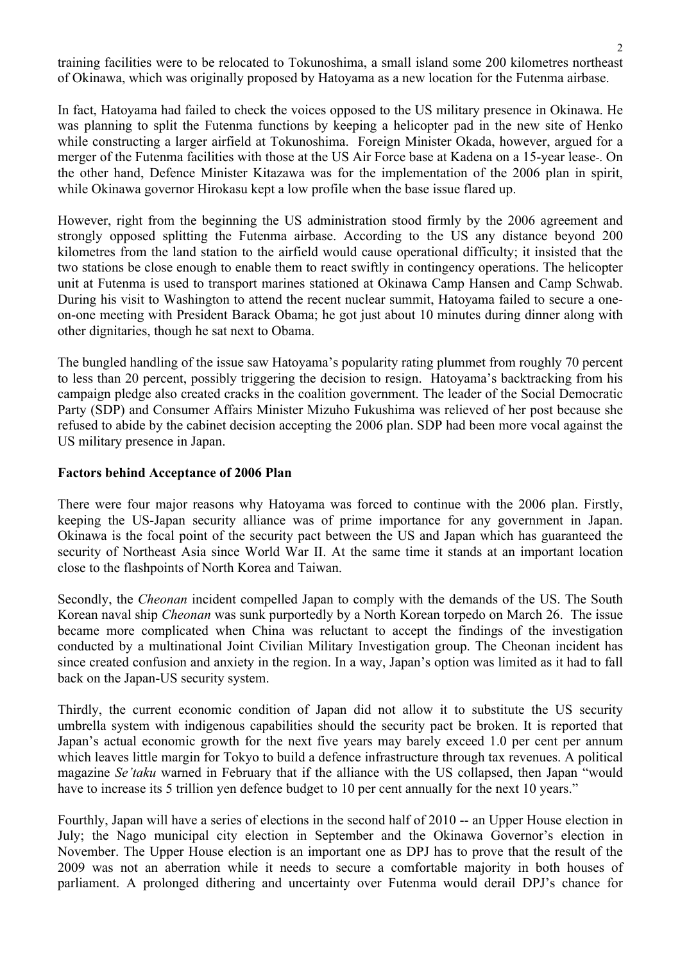training facilities were to be relocated to Tokunoshima, a small island some 200 kilometres northeast of Okinawa, which was originally proposed by Hatoyama as a new location for the Futenma airbase.

In fact, Hatoyama had failed to check the voices opposed to the US military presence in Okinawa. He was planning to split the Futenma functions by keeping a helicopter pad in the new site of Henko while constructing a larger airfield at Tokunoshima. Foreign Minister Okada, however, argued for a merger of the Futenma facilities with those at the US Air Force base at Kadena on a 15-year lease . On the other hand, Defence Minister Kitazawa was for the implementation of the 2006 plan in spirit, while Okinawa governor Hirokasu kept a low profile when the base issue flared up.

However, right from the beginning the US administration stood firmly by the 2006 agreement and strongly opposed splitting the Futenma airbase. According to the US any distance beyond 200 kilometres from the land station to the airfield would cause operational difficulty; it insisted that the two stations be close enough to enable them to react swiftly in contingency operations. The helicopter unit at Futenma is used to transport marines stationed at Okinawa Camp Hansen and Camp Schwab. During his visit to Washington to attend the recent nuclear summit, Hatoyama failed to secure a oneon-one meeting with President Barack Obama; he got just about 10 minutes during dinner along with other dignitaries, though he sat next to Obama.

The bungled handling of the issue saw Hatoyama's popularity rating plummet from roughly 70 percent to less than 20 percent, possibly triggering the decision to resign. Hatoyama's backtracking from his campaign pledge also created cracks in the coalition government. The leader of the Social Democratic Party (SDP) and Consumer Affairs Minister Mizuho Fukushima was relieved of her post because she refused to abide by the cabinet decision accepting the 2006 plan. SDP had been more vocal against the US military presence in Japan.

## **Factors behind Acceptance of 2006 Plan**

There were four major reasons why Hatoyama was forced to continue with the 2006 plan. Firstly, keeping the US-Japan security alliance was of prime importance for any government in Japan. Okinawa is the focal point of the security pact between the US and Japan which has guaranteed the security of Northeast Asia since World War II. At the same time it stands at an important location close to the flashpoints of North Korea and Taiwan.

Secondly, the *Cheonan* incident compelled Japan to comply with the demands of the US. The South Korean naval ship *Cheonan* was sunk purportedly by a North Korean torpedo on March 26. The issue became more complicated when China was reluctant to accept the findings of the investigation conducted by a multinational Joint Civilian Military Investigation group. The Cheonan incident has since created confusion and anxiety in the region. In a way, Japan's option was limited as it had to fall back on the Japan-US security system.

Thirdly, the current economic condition of Japan did not allow it to substitute the US security umbrella system with indigenous capabilities should the security pact be broken. It is reported that Japan's actual economic growth for the next five years may barely exceed 1.0 per cent per annum which leaves little margin for Tokyo to build a defence infrastructure through tax revenues. A political magazine *Se'taku* warned in February that if the alliance with the US collapsed, then Japan "would have to increase its 5 trillion yen defence budget to 10 per cent annually for the next 10 years."

Fourthly, Japan will have a series of elections in the second half of 2010 -- an Upper House election in July; the Nago municipal city election in September and the Okinawa Governor's election in November. The Upper House election is an important one as DPJ has to prove that the result of the 2009 was not an aberration while it needs to secure a comfortable majority in both houses of parliament. A prolonged dithering and uncertainty over Futenma would derail DPJ's chance for